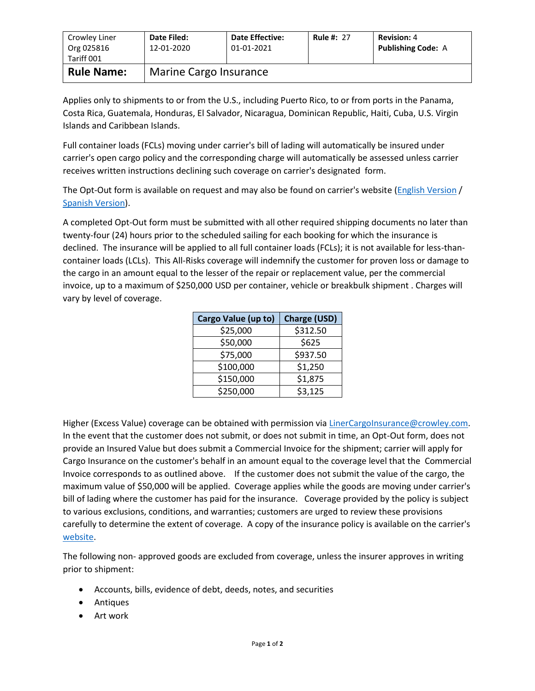| Crowley Liner<br>Org 025816<br>Tariff 001 | Date Filed:<br>12-01-2020 | <b>Date Effective:</b><br>01-01-2021 | <b>Rule #: 27</b> | <b>Revision: 4</b><br><b>Publishing Code: A</b> |  |
|-------------------------------------------|---------------------------|--------------------------------------|-------------------|-------------------------------------------------|--|
| <b>Rule Name:</b>                         | Marine Cargo Insurance    |                                      |                   |                                                 |  |

Applies only to shipments to or from the U.S., including Puerto Rico, to or from ports in the Panama, Costa Rica, Guatemala, Honduras, El Salvador, Nicaragua, Dominican Republic, Haiti, Cuba, U.S. Virgin Islands and Caribbean Islands.

Full container loads (FCLs) moving under carrier's bill of lading will automatically be insured under carrier's open cargo policy and the corresponding charge will automatically be assessed unless carrier receives written instructions declining such coverage on carrier's designated form.

The Opt-Out form is available on request and may also be found on carrier's website [\(English Version](http://www.crowley.com/content/download/31386/232069/version/1/file/Cargo+Insurance+Opt-Out+UPDATED+-+ENGLISH.PDF) / [Spanish Version\)](http://www.crowley.com/content/download/31385/232065/version/1/file/Formulario+de++Rechazo+de+Seguro+de+Carga+REVISADO.PDF).

A completed Opt-Out form must be submitted with all other required shipping documents no later than twenty-four (24) hours prior to the scheduled sailing for each booking for which the insurance is declined. The insurance will be applied to all full container loads (FCLs); it is not available for less-thancontainer loads (LCLs). This All-Risks coverage will indemnify the customer for proven loss or damage to the cargo in an amount equal to the lesser of the repair or replacement value, per the commercial invoice, up to a maximum of \$250,000 USD per container, vehicle or breakbulk shipment . Charges will vary by level of coverage.

| Cargo Value (up to) | <b>Charge (USD)</b> |  |
|---------------------|---------------------|--|
| \$25,000            | \$312.50            |  |
| \$50,000            | \$625               |  |
| \$75,000            | \$937.50            |  |
| \$100,000           | \$1,250             |  |
| \$150,000           | \$1,875             |  |
| \$250,000           | \$3,125             |  |

Higher (Excess Value) coverage can be obtained with permission vi[a LinerCargoInsurance@crowley.com.](mailto:LinerCargoInsurance@crowley.com) In the event that the customer does not submit, or does not submit in time, an Opt-Out form, does not provide an Insured Value but does submit a Commercial Invoice for the shipment; carrier will apply for Cargo Insurance on the customer's behalf in an amount equal to the coverage level that the Commercial Invoice corresponds to as outlined above. If the customer does not submit the value of the cargo, the maximum value of \$50,000 will be applied. Coverage applies while the goods are moving under carrier's bill of lading where the customer has paid for the insurance. Coverage provided by the policy is subject to various exclusions, conditions, and warranties; customers are urged to review these provisions carefully to determine the extent of coverage. A copy of the insurance policy is available on the carrier's [website.](http://www.crowley.com/content/download/17988/122094/version/1/file/Caribbean+Cargo+Insurance+Policy.pdf)

The following non- approved goods are excluded from coverage, unless the insurer approves in writing prior to shipment:

- Accounts, bills, evidence of debt, deeds, notes, and securities
- Antiques
- Art work